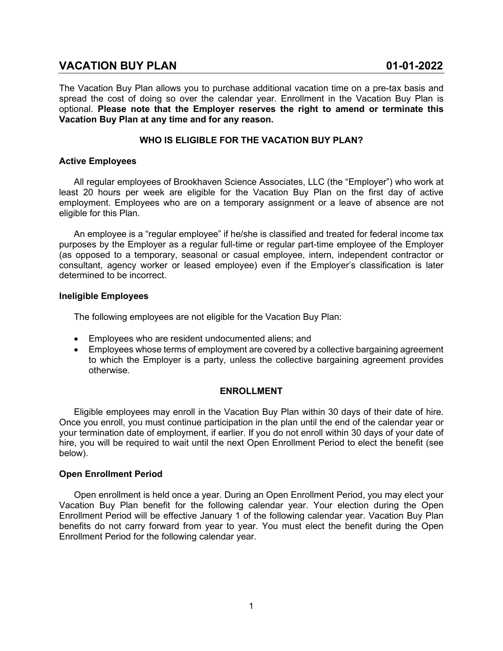# **VACATION BUY PLAN 01-01-2022**

The Vacation Buy Plan allows you to purchase additional vacation time on a pre-tax basis and spread the cost of doing so over the calendar year. Enrollment in the Vacation Buy Plan is optional. **Please note that the Employer reserves the right to amend or terminate this Vacation Buy Plan at any time and for any reason.**

# **WHO IS ELIGIBLE FOR THE VACATION BUY PLAN?**

# **Active Employees**

All regular employees of Brookhaven Science Associates, LLC (the "Employer") who work at least 20 hours per week are eligible for the Vacation Buy Plan on the first day of active employment. Employees who are on a temporary assignment or a leave of absence are not eligible for this Plan.

An employee is a "regular employee" if he/she is classified and treated for federal income tax purposes by the Employer as a regular full-time or regular part-time employee of the Employer (as opposed to a temporary, seasonal or casual employee, intern, independent contractor or consultant, agency worker or leased employee) even if the Employer's classification is later determined to be incorrect.

#### **Ineligible Employees**

The following employees are not eligible for the Vacation Buy Plan:

- Employees who are resident undocumented aliens; and
- Employees whose terms of employment are covered by a collective bargaining agreement to which the Employer is a party, unless the collective bargaining agreement provides otherwise.

# **ENROLLMENT**

Eligible employees may enroll in the Vacation Buy Plan within 30 days of their date of hire. Once you enroll, you must continue participation in the plan until the end of the calendar year or your termination date of employment, if earlier. If you do not enroll within 30 days of your date of hire, you will be required to wait until the next Open Enrollment Period to elect the benefit (see below).

# **Open Enrollment Period**

Open enrollment is held once a year. During an Open Enrollment Period, you may elect your Vacation Buy Plan benefit for the following calendar year. Your election during the Open Enrollment Period will be effective January 1 of the following calendar year. Vacation Buy Plan benefits do not carry forward from year to year. You must elect the benefit during the Open Enrollment Period for the following calendar year.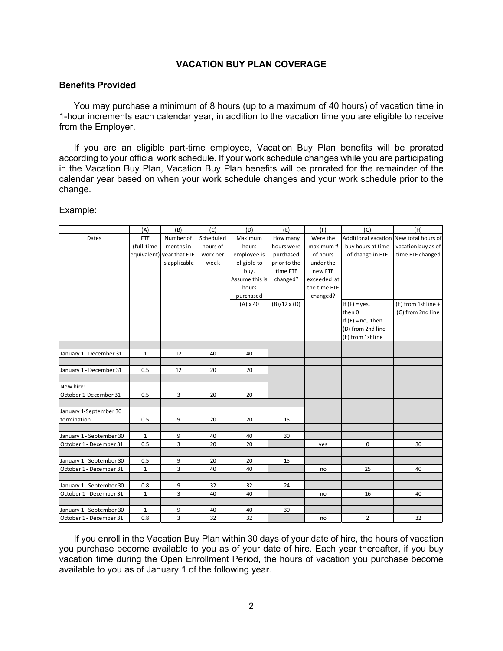# **VACATION BUY PLAN COVERAGE**

#### **Benefits Provided**

You may purchase a minimum of 8 hours (up to a maximum of 40 hours) of vacation time in 1-hour increments each calendar year, in addition to the vacation time you are eligible to receive from the Employer.

If you are an eligible part-time employee, Vacation Buy Plan benefits will be prorated according to your official work schedule. If your work schedule changes while you are participating in the Vacation Buy Plan, Vacation Buy Plan benefits will be prorated for the remainder of the calendar year based on when your work schedule changes and your work schedule prior to the change.

Example:

|                                       | (A)          | (B)                       | (C)       | (D)             | (E)                 | (F)          | (G)                                    | (H)                 |
|---------------------------------------|--------------|---------------------------|-----------|-----------------|---------------------|--------------|----------------------------------------|---------------------|
| Dates                                 | <b>FTE</b>   | Number of                 | Scheduled | Maximum         | How many            | Were the     | Additional vacation New total hours of |                     |
|                                       | (full-time   | months in                 | hours of  | hours           | hours were          | maximum#     | buy hours at time                      | vacation buy as of  |
|                                       |              | equivalent) year that FTE | work per  | employee is     | purchased           | of hours     | of change in FTE                       | time FTE changed    |
|                                       |              | is applicable             | week      | eligible to     | prior to the        | under the    |                                        |                     |
|                                       |              |                           |           | buy.            | time FTE            | new FTE      |                                        |                     |
|                                       |              |                           |           | Assume this is  | changed?            | exceeded at  |                                        |                     |
|                                       |              |                           |           | hours           |                     | the time FTE |                                        |                     |
|                                       |              |                           |           | purchased       |                     | changed?     |                                        |                     |
|                                       |              |                           |           | $(A) \times 40$ | $(B)/12 \times (D)$ |              | If $(F) = yes$ ,                       | (E) from 1st line + |
|                                       |              |                           |           |                 |                     |              | then 0                                 | (G) from 2nd line   |
|                                       |              |                           |           |                 |                     |              | If $(F)$ = no, then                    |                     |
|                                       |              |                           |           |                 |                     |              | (D) from 2nd line -                    |                     |
|                                       |              |                           |           |                 |                     |              | (E) from 1st line                      |                     |
|                                       |              |                           |           |                 |                     |              |                                        |                     |
| January 1 - December 31               | $\mathbf{1}$ | 12                        | 40        | 40              |                     |              |                                        |                     |
|                                       |              |                           |           |                 |                     |              |                                        |                     |
| January 1 - December 31               | 0.5          | 12                        | 20        | 20              |                     |              |                                        |                     |
|                                       |              |                           |           |                 |                     |              |                                        |                     |
| New hire:                             |              |                           |           |                 |                     |              |                                        |                     |
| October 1-December 31                 | 0.5          | 3                         | 20        | 20              |                     |              |                                        |                     |
|                                       |              |                           |           |                 |                     |              |                                        |                     |
| January 1-September 30<br>termination |              |                           |           |                 |                     |              |                                        |                     |
|                                       | 0.5          | 9                         | 20        | 20              | 15                  |              |                                        |                     |
| January 1 - September 30              | $\mathbf 1$  | 9                         | 40        | 40              | 30                  |              |                                        |                     |
| October 1 - December 31               | 0.5          | 3                         | 20        | 20              |                     | yes          | 0                                      | 30                  |
|                                       |              |                           |           |                 |                     |              |                                        |                     |
| January 1 - September 30              | 0.5          | 9                         | 20        | 20              | 15                  |              |                                        |                     |
| October 1 - December 31               | $\mathbf{1}$ | 3                         | 40        | 40              |                     | no           | 25                                     | 40                  |
|                                       |              |                           |           |                 |                     |              |                                        |                     |
| January 1 - September 30              | 0.8          | 9                         | 32        | 32              | 24                  |              |                                        |                     |
| October 1 - December 31               | $\mathbf{1}$ | 3                         | 40        | 40              |                     | no           | 16                                     | 40                  |
|                                       |              |                           |           |                 |                     |              |                                        |                     |
| January 1 - September 30              | $\mathbf{1}$ | 9                         | 40        | 40              | 30                  |              |                                        |                     |
| October 1 - December 31               | 0.8          | 3                         | 32        | 32              |                     | no           | $\overline{2}$                         | 32                  |

If you enroll in the Vacation Buy Plan within 30 days of your date of hire, the hours of vacation you purchase become available to you as of your date of hire. Each year thereafter, if you buy vacation time during the Open Enrollment Period, the hours of vacation you purchase become available to you as of January 1 of the following year.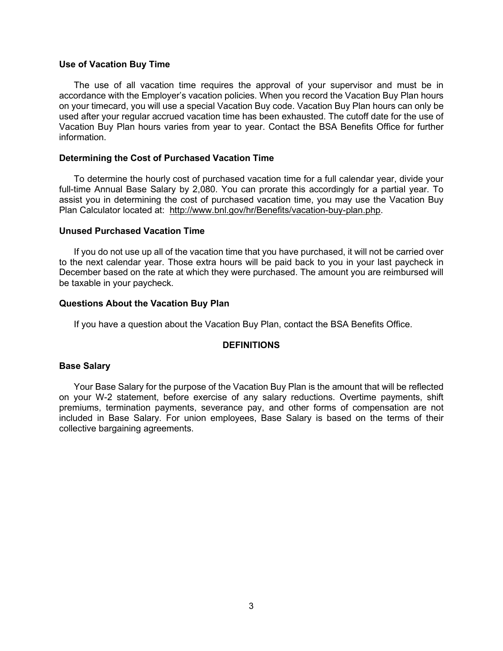#### **Use of Vacation Buy Time**

The use of all vacation time requires the approval of your supervisor and must be in accordance with the Employer's vacation policies. When you record the Vacation Buy Plan hours on your timecard, you will use a special Vacation Buy code. Vacation Buy Plan hours can only be used after your regular accrued vacation time has been exhausted. The cutoff date for the use of Vacation Buy Plan hours varies from year to year. Contact the BSA Benefits Office for further information.

### **Determining the Cost of Purchased Vacation Time**

To determine the hourly cost of purchased vacation time for a full calendar year, divide your full-time Annual Base Salary by 2,080. You can prorate this accordingly for a partial year. To assist you in determining the cost of purchased vacation time, you may use the Vacation Buy Plan Calculator located at: [http://www.bnl.gov/hr/Benefits/vacation-buy-plan.php.](http://www.bnl.gov/hr/Benefits/vacation-buy-plan.php)

# **Unused Purchased Vacation Time**

If you do not use up all of the vacation time that you have purchased, it will not be carried over to the next calendar year. Those extra hours will be paid back to you in your last paycheck in December based on the rate at which they were purchased. The amount you are reimbursed will be taxable in your paycheck.

#### **Questions About the Vacation Buy Plan**

If you have a question about the Vacation Buy Plan, contact the BSA Benefits Office.

#### **DEFINITIONS**

### **Base Salary**

Your Base Salary for the purpose of the Vacation Buy Plan is the amount that will be reflected on your W-2 statement, before exercise of any salary reductions. Overtime payments, shift premiums, termination payments, severance pay, and other forms of compensation are not included in Base Salary. For union employees, Base Salary is based on the terms of their collective bargaining agreements.